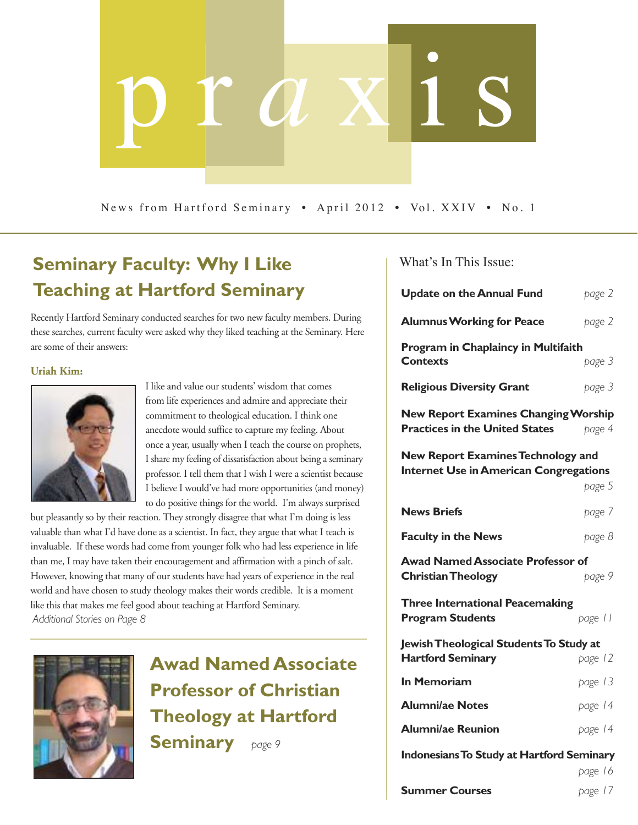# p r *a* x i s

News from Hartford Seminary • April 2012 • Vol. XXIV • No. 1

# **Seminary Faculty: Why I Like** What's In This Issue: **Teaching at Hartford Seminary**

Recently Hartford Seminary conducted searches for two new faculty members. During these searches, current faculty were asked why they liked teaching at the Seminary. Here are some of their answers:

### **Uriah Kim:**



I like and value our students' wisdom that comes from life experiences and admire and appreciate their commitment to theological education. I think one anecdote would suffice to capture my feeling. About once a year, usually when I teach the course on prophets, I share my feeling of dissatisfaction about being a seminary professor. I tell them that I wish I were a scientist because I believe I would've had more opportunities (and money) to do positive things for the world. I'm always surprised

but pleasantly so by their reaction. They strongly disagree that what I'm doing is less valuable than what I'd have done as a scientist. In fact, they argue that what I teach is invaluable. If these words had come from younger folk who had less experience in life than me, I may have taken their encouragement and affirmation with a pinch of salt. However, knowing that many of our students have had years of experience in the real world and have chosen to study theology makes their words credible. It is a moment like this that makes me feel good about teaching at Hartford Seminary. *Additional Stories on Page 8*



**Awad Named Associate Professor of Christian Theology at Hartford Seminary** *page <sup>9</sup>*

| <b>Update on the Annual Fund</b>                                                           | page 2  |
|--------------------------------------------------------------------------------------------|---------|
| <b>Alumnus Working for Peace</b>                                                           | page 2  |
| Program in Chaplaincy in Multifaith                                                        |         |
| <b>Contexts</b>                                                                            | page 3  |
| <b>Religious Diversity Grant</b>                                                           | page 3  |
| <b>New Report Examines Changing Worship</b>                                                |         |
| <b>Practices in the United States</b>                                                      | page 4  |
| <b>New Report Examines Technology and</b><br><b>Internet Use in American Congregations</b> |         |
|                                                                                            | page 5  |
| <b>News Briefs</b>                                                                         | page 7  |
| <b>Faculty in the News</b>                                                                 | page 8  |
| <b>Awad Named Associate Professor of</b>                                                   |         |
| <b>Christian Theology</b>                                                                  | page 9  |
| <b>Three International Peacemaking</b>                                                     |         |
| <b>Program Students</b>                                                                    | page 11 |
| Jewish Theological Students To Study at                                                    |         |
| <b>Hartford Seminary</b>                                                                   | page 12 |
| <b>In Memoriam</b>                                                                         | page 13 |
| <b>Alumni/ae Notes</b>                                                                     | page 14 |
| <b>Alumni/ae Reunion</b>                                                                   | page 14 |
| <b>Indonesians To Study at Hartford Seminary</b>                                           |         |
|                                                                                            | page 16 |

**Summer Courses** *page 17*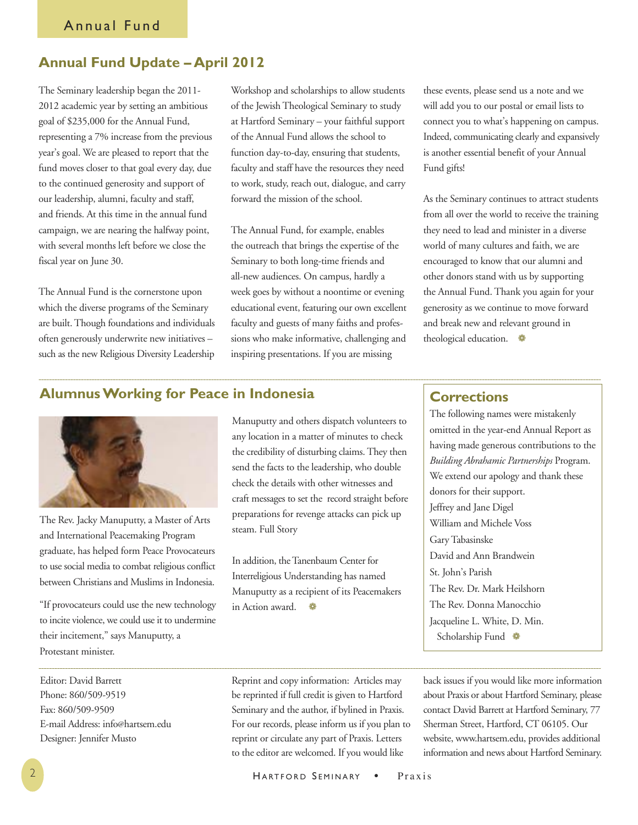# **Annual Fund Update – April 2012**

The Seminary leadership began the 2011- 2012 academic year by setting an ambitious goal of \$235,000 for the Annual Fund, representing a 7% increase from the previous year's goal. We are pleased to report that the fund moves closer to that goal every day, due to the continued generosity and support of our leadership, alumni, faculty and staff, and friends. At this time in the annual fund campaign, we are nearing the halfway point, with several months left before we close the fiscal year on June 30.

The Annual Fund is the cornerstone upon which the diverse programs of the Seminary are built. Though foundations and individuals often generously underwrite new initiatives – such as the new Religious Diversity Leadership

Workshop and scholarships to allow students of the Jewish Theological Seminary to study at Hartford Seminary – your faithful support of the Annual Fund allows the school to function day-to-day, ensuring that students, faculty and staff have the resources they need to work, study, reach out, dialogue, and carry forward the mission of the school.

The Annual Fund, for example, enables the outreach that brings the expertise of the Seminary to both long-time friends and all-new audiences. On campus, hardly a week goes by without a noontime or evening educational event, featuring our own excellent faculty and guests of many faiths and professions who make informative, challenging and inspiring presentations. If you are missing

these events, please send us a note and we will add you to our postal or email lists to connect you to what's happening on campus. Indeed, communicating clearly and expansively is another essential benefit of your Annual Fund gifts!

As the Seminary continues to attract students from all over the world to receive the training they need to lead and minister in a diverse world of many cultures and faith, we are encouraged to know that our alumni and other donors stand with us by supporting the Annual Fund. Thank you again for your generosity as we continue to move forward and break new and relevant ground in theological education. ❁

# **AlumnusWorking for Peace in Indonesia**



The Rev. Jacky Manuputty, a Master of Arts and International Peacemaking Program graduate, has helped form Peace Provocateurs to use social media to combat religious conflict between Christians and Muslims in Indonesia.

"If provocateurs could use the new technology to incite violence, we could use it to undermine their incitement," says Manuputty, a Protestant minister.

Manuputty and others dispatch volunteers to any location in a matter of minutes to check the credibility of disturbing claims. They then send the facts to the leadership, who double check the details with other witnesses and craft messages to set the record straight before preparations for revenge attacks can pick up steam. Full [Story](http://www.hartsem.edu/news/alumnus-working-peace-indonesia)

In addition, theTanenbaum Center for Interreligious Understanding has named Manuputty as a recipient of its Peacemakers in Action award. ❁

# **Corrections**

The following names were mistakenly omitted in the year-end Annual Report as having made generous contributions to the *Building Abrahamic Partnerships* Program. We extend our apology and thank these donors for their support. Jeffrey and Jane Digel William and Michele Voss Gary Tabasinske David and Ann Brandwein St. John's Parish The Rev. Dr. Mark Heilshorn The Rev. Donna Manocchio Jacqueline L. White, D. Min. Scholarship Fund ❁

Editor: David Barrett Phone: 860/509-9519 Fax: 860/509-9509 E-mail Address: info@hartsem.edu Designer: Jennifer Musto

Reprint and copy information: Articles may be reprinted if full credit is given to Hartford Seminary and the author, if bylined in Praxis. For our records, please inform us if you plan to reprint or circulate any part of Praxis. Letters to the editor are welcomed. If you would like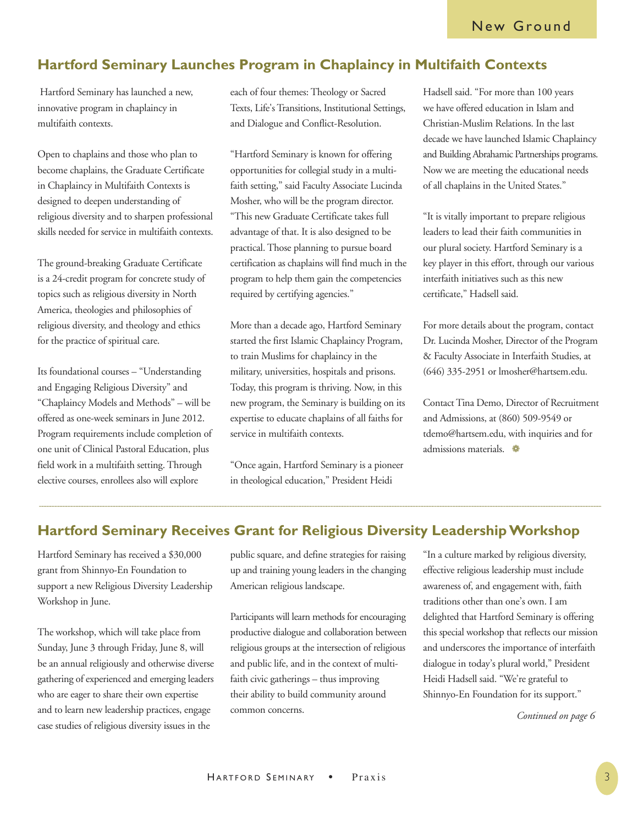# **Hartford Seminary Launches Program in Chaplaincy in Multifaith Contexts**

Hartford Seminary has launched a new, innovative program in chaplaincy in multifaith contexts.

Open to chaplains and those who plan to become chaplains, the Graduate Certificate in Chaplaincy in Multifaith Contexts is designed to deepen understanding of religious diversity and to sharpen professional skills needed for service in multifaith contexts.

The ground-breaking Graduate Certificate is a 24-credit program for concrete study of topics such as religious diversity in North America, theologies and philosophies of religious diversity, and theology and ethics for the practice of spiritual care.

Its foundational courses – "Understanding and Engaging Religious Diversity" and "Chaplaincy Models and Methods" – will be offered as one-week seminars in June 2012. Program requirements include completion of one unit of Clinical Pastoral Education, plus field work in a multifaith setting. Through elective courses, enrollees also will explore

each of four themes: Theology or Sacred Texts, Life's Transitions, Institutional Settings, and Dialogue and Conflict-Resolution.

"Hartford Seminary is known for offering opportunities for collegial study in a multifaith setting," said Faculty Associate Lucinda Mosher, who will be the program director. "This new Graduate Certificate takes full advantage of that. It is also designed to be practical. Those planning to pursue board certification as chaplains will find much in the program to help them gain the competencies required by certifying agencies."

More than a decade ago, Hartford Seminary started the first Islamic Chaplaincy Program, to train Muslims for chaplaincy in the military, universities, hospitals and prisons. Today, this program is thriving. Now, in this new program, the Seminary is building on its expertise to educate chaplains of all faiths for service in multifaith contexts.

"Once again, Hartford Seminary is a pioneer in theological education," President Heidi

Hadsell said. "For more than 100 years we have offered education in Islam and Christian-Muslim Relations. In the last decade we have launched Islamic Chaplaincy and Building Abrahamic Partnerships programs. Now we are meeting the educational needs of all chaplains in the United States."

"It is vitally important to prepare religious leaders to lead their faith communities in our plural society. Hartford Seminary is a key player in this effort, through our various interfaith initiatives such as this new certificate," Hadsell said.

For more details about the program, contact Dr. Lucinda Mosher, Director of the Program & Faculty Associate in Interfaith Studies, at (646) 335-2951 or lmosher@hartsem.edu.

Contact Tina Demo, Director of Recruitment and Admissions, at (860) 509-9549 or tdemo@hartsem.edu, with inquiries and for admissions materials. ❁

# **Hartford Seminary Receives Grant for Religious Diversity LeadershipWorkshop**

Hartford Seminary has received a \$30,000 grant from Shinnyo-En Foundation to support a new Religious Diversity Leadership Workshop in June.

The workshop, which will take place from Sunday, June 3 through Friday, June 8, will be an annual religiously and otherwise diverse gathering of experienced and emerging leaders who are eager to share their own expertise and to learn new leadership practices, engage case studies of religious diversity issues in the

public square, and define strategies for raising up and training young leaders in the changing American religious landscape.

Participants will learn methods for encouraging productive dialogue and collaboration between religious groups at the intersection of religious and public life, and in the context of multifaith civic gatherings – thus improving their ability to build community around common concerns.

"In a culture marked by religious diversity, effective religious leadership must include awareness of, and engagement with, faith traditions other than one's own. I am delighted that Hartford Seminary is offering this special workshop that reflects our mission and underscores the importance of interfaith dialogue in today's plural world," President Heidi Hadsell said. "We're grateful to Shinnyo-En Foundation for its support."

*Continued on page 6*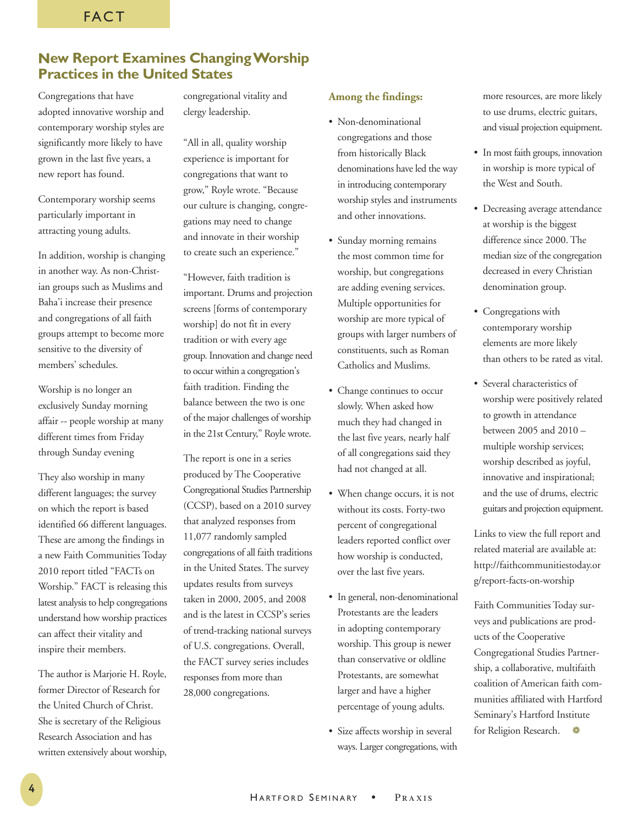# **New Report Examines ChangingWorship Practices in the United States**

Congregations that have adopted innovative worship and contemporary worship styles are significantly more likely to have grown in the last five years, a new report has found.

Contemporary worship seems particularly important in attracting young adults.

In addition, worship is changing in another way. As non-Christian groups such as Muslims and Baha'i increase their presence and congregations of all faith groups attempt to become more sensitive to the diversity of members' schedules.

Worship is no longer an exclusively Sunday morning affair -- people worship at many different times from Friday through Sunday evening

They also worship in many different languages; the survey on which the report is based identified 66 different languages. These are among the findings in a new Faith Communities Today 2010 report titled "FACTs on Worship." FACT is releasing this latest analysis to help congregations understand how worship practices can affect their vitality and inspire their members.

The author is Marjorie H. Royle, former Director of Research for the United Church of Christ. She is secretary of the Religious Research Association and has written extensively about worship, congregational vitality and clergy leadership.

"All in all, quality worship experience is important for congregations that want to grow," Royle wrote. "Because our culture is changing, congregations may need to change and innovate in their worship to create such an experience."

"However, faith tradition is important. Drums and projection screens [forms of contemporary worship] do not fit in every tradition or with every age group. Innovation and change need to occur within a congregation's faith tradition. Finding the balance between the two is one of the major challenges of worship in the 21st Century," Royle wrote.

The report is one in a series produced by The Cooperative Congregational Studies Partnership (CCSP), based on a 2010 survey that analyzed responses from 11,077 randomly sampled congregations of all faith traditions in the United States. The survey updates results from surveys taken in 2000, 2005, and 2008 and is the latest in CCSP's series of trend-tracking national surveys of U.S. congregations. Overall, the FACT survey series includes responses from more than 28,000 congregations.

### **Among the findings:**

- Non-denominational congregations and those from historically Black denominations have led the way in introducing contemporary worship styles and instruments and other innovations.
- Sunday morning remains the most common time for worship, but congregations are adding evening services. Multiple opportunities for worship are more typical of groups with larger numbers of constituents, such as Roman Catholics and Muslims.
- Change continues to occur slowly. When asked how much they had changed in the last five years, nearly half of all congregations said they had not changed at all.
- When change occurs, it is not without its costs. Forty-two percent of congregational leaders reported conflict over how worship is conducted, over the last five years.
- In general, non-denominational Protestants are the leaders in adopting contemporary worship. This group is newer than conservative or oldline Protestants, are somewhat larger and have a higher percentage of young adults.
- Size affects worship in several ways. Larger congregations, with

more resources, are more likely to use drums, electric guitars, and visual projection equipment.

- In most faith groups, innovation in worship is more typical of the West and South.
- Decreasing average attendance at worship is the biggest difference since 2000. The median size of the congregation decreased in every Christian denomination group.
- Congregations with contemporary worship elements are more likely than others to be rated as vital.
- Several characteristics of worship were positively related to growth in attendance between 2005 and 2010 – multiple worship services; worship described as joyful, innovative and inspirational; and the use of drums, electric guitars and projection equipment.

Links to view the full report and related material are available at: [http://faithcommunitiestoday.or](http://faithcommunitiestoday.org/report-facts-on-worship) [g/report-facts-on-worship](http://faithcommunitiestoday.org/report-facts-on-worship)

Faith Communities Today surveys and publications are products of the Cooperative Congregational Studies Partnership, a collaborative, multifaith coalition of American faith communities affiliated with Hartford Seminary's Hartford Institute for Religion Research.  $\bullet$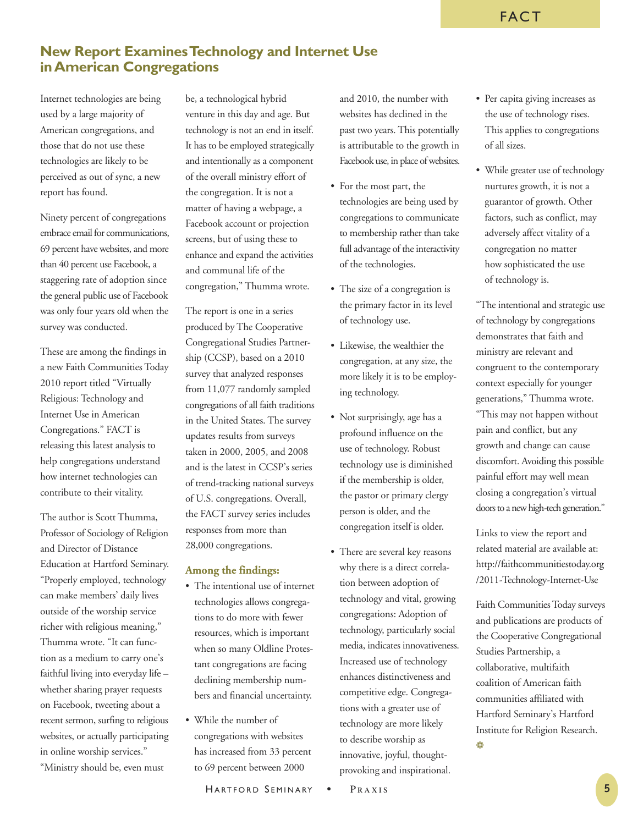# **New Report ExaminesTechnology and Internet Use inAmerican Congregations**

Internet technologies are being used by a large majority of American congregations, and those that do not use these technologies are likely to be perceived as out of sync, a new report has found.

Ninety percent of congregations embrace email for communications, 69 percent have websites, and more than 40 percent use Facebook, a staggering rate of adoption since the general public use of Facebook was only four years old when the survey was conducted.

These are among the findings in a new Faith Communities Today 2010 report titled "Virtually Religious: Technology and Internet Use in American Congregations." FACT is releasing this latest analysis to help congregations understand how internet technologies can contribute to their vitality.

The author is Scott Thumma, Professor of Sociology of Religion and Director of Distance Education at Hartford Seminary. "Properly employed, technology can make members' daily lives outside of the worship service richer with religious meaning," Thumma wrote. "It can function as a medium to carry one's faithful living into everyday life – whether sharing prayer requests on Facebook, tweeting about a recent sermon, surfing to religious websites, or actually participating in online worship services." "Ministry should be, even must

be, a technological hybrid venture in this day and age. But technology is not an end in itself. It has to be employed strategically and intentionally as a component of the overall ministry effort of the congregation. It is not a matter of having a webpage, a Facebook account or projection screens, but of using these to enhance and expand the activities and communal life of the congregation," Thumma wrote.

The report is one in a series produced by The Cooperative Congregational Studies Partnership (CCSP), based on a 2010 survey that analyzed responses from 11,077 randomly sampled congregations of all faith traditions in the United States. The survey updates results from surveys taken in 2000, 2005, and 2008 and is the latest in CCSP's series of trend-tracking national surveys of U.S. congregations. Overall, the FACT survey series includes responses from more than 28,000 congregations.

### **Among the findings:**

- The intentional use of internet technologies allows congregations to do more with fewer resources, which is important when so many Oldline Protestant congregations are facing declining membership numbers and financial uncertainty.
- While the number of congregations with websites has increased from 33 percent to 69 percent between 2000

and 2010, the number with websites has declined in the past two years. This potentially is attributable to the growth in Facebook use, in place of websites.

- For the most part, the technologies are being used by congregations to communicate to membership rather than take full advantage of the interactivity of the technologies.
- The size of a congregation is the primary factor in its level of technology use.
- Likewise, the wealthier the congregation, at any size, the more likely it is to be employing technology.
- Not surprisingly, age has a profound influence on the use of technology. Robust technology use is diminished if the membership is older, the pastor or primary clergy person is older, and the congregation itself is older.
- There are several key reasons why there is a direct correlation between adoption of technology and vital, growing congregations: Adoption of technology, particularly social media, indicates innovativeness. Increased use of technology enhances distinctiveness and competitive edge. Congregations with a greater use of technology are more likely to describe worship as innovative, joyful, thoughtprovoking and inspirational.

• While greater use of technology nurtures growth, it is not a guarantor of growth. Other factors, such as conflict, may adversely affect vitality of a congregation no matter how sophisticated the use of technology is.

"The intentional and strategic use of technology by congregations demonstrates that faith and ministry are relevant and congruent to the contemporary context especially for younger generations," Thumma wrote. "This may not happen without pain and conflict, but any growth and change can cause discomfort. Avoiding this possible painful effort may well mean closing a congregation's virtual doors to a new high-tech generation."

Links to view the report and related material are available at: [http://faithcommunitiestoday.org](http://faithcommunitiestoday.org/2011-Technology-Internet-Use) [/2011-Technology-Internet-Use](http://faithcommunitiestoday.org/2011-Technology-Internet-Use)

Faith Communities Today surveys and publications are products of the Cooperative Congregational Studies Partnership, a collaborative, multifaith coalition of American faith communities affiliated with Hartford Seminary's Hartford Institute for Religion Research. ❁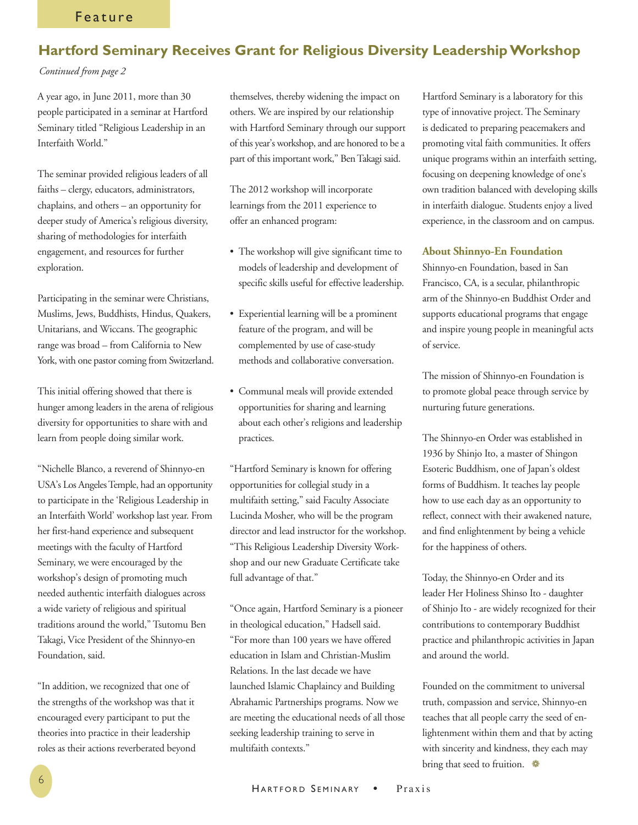# **Hartford Seminary Receives Grant for Religious Diversity LeadershipWorkshop**

### *Continued from page 2*

A year ago, in June 2011, more than 30 people participated in a seminar at Hartford Seminary titled "Religious Leadership in an Interfaith World."

The seminar provided religious leaders of all faiths – clergy, educators, administrators, chaplains, and others – an opportunity for deeper study of America's religious diversity, sharing of methodologies for interfaith engagement, and resources for further exploration.

Participating in the seminar were Christians, Muslims, Jews, Buddhists, Hindus, Quakers, Unitarians, and Wiccans. The geographic range was broad – from California to New York, with one pastor coming from Switzerland.

This initial offering showed that there is hunger among leaders in the arena of religious diversity for opportunities to share with and learn from people doing similar work.

"Nichelle Blanco, a reverend of Shinnyo-en USA's Los Angeles Temple, had an opportunity to participate in the 'Religious Leadership in an Interfaith World' workshop last year. From her first-hand experience and subsequent meetings with the faculty of Hartford Seminary, we were encouraged by the workshop's design of promoting much needed authentic interfaith dialogues across a wide variety of religious and spiritual traditions around the world," Tsutomu Ben Takagi, Vice President of the Shinnyo-en Foundation, said.

"In addition, we recognized that one of the strengths of the workshop was that it encouraged every participant to put the theories into practice in their leadership roles as their actions reverberated beyond themselves, thereby widening the impact on others. We are inspired by our relationship with Hartford Seminary through our support of this year's workshop, and are honored to be a part of this important work," BenTakagi said.

The 2012 workshop will incorporate learnings from the 2011 experience to offer an enhanced program:

- The workshop will give significant time to models of leadership and development of specific skills useful for effective leadership.
- Experiential learning will be a prominent feature of the program, and will be complemented by use of case-study methods and collaborative conversation.
- Communal meals will provide extended opportunities for sharing and learning about each other's religions and leadership practices.

"Hartford Seminary is known for offering opportunities for collegial study in a multifaith setting," said Faculty Associate Lucinda Mosher, who will be the program director and lead instructor for the workshop. "This Religious Leadership Diversity Workshop and our new Graduate Certificate take full advantage of that."

"Once again, Hartford Seminary is a pioneer in theological education," Hadsell said. "For more than 100 years we have offered education in Islam and Christian-Muslim Relations. In the last decade we have launched Islamic Chaplaincy and Building Abrahamic Partnerships programs. Now we are meeting the educational needs of all those seeking leadership training to serve in multifaith contexts."

Hartford Seminary is a laboratory for this type of innovative project. The Seminary is dedicated to preparing peacemakers and promoting vital faith communities. It offers unique programs within an interfaith setting, focusing on deepening knowledge of one's own tradition balanced with developing skills in interfaith dialogue. Students enjoy a lived experience, in the classroom and on campus.

### **About Shinnyo-En Foundation**

Shinnyo-en Foundation, based in San Francisco, CA, is a secular, philanthropic arm of the Shinnyo-en Buddhist Order and supports educational programs that engage and inspire young people in meaningful acts of service.

The mission of Shinnyo-en Foundation is to promote global peace through service by nurturing future generations.

The Shinnyo-en Order was established in 1936 by Shinjo Ito, a master of Shingon Esoteric Buddhism, one of Japan's oldest forms of Buddhism. It teaches lay people how to use each day as an opportunity to reflect, connect with their awakened nature, and find enlightenment by being a vehicle for the happiness of others.

Today, the Shinnyo-en Order and its leader Her Holiness Shinso Ito - daughter of Shinjo Ito - are widely recognized for their contributions to contemporary Buddhist practice and philanthropic activities in Japan and around the world.

Founded on the commitment to universal truth, compassion and service, Shinnyo-en teaches that all people carry the seed of enlightenment within them and that by acting with sincerity and kindness, they each may bring that seed to fruition.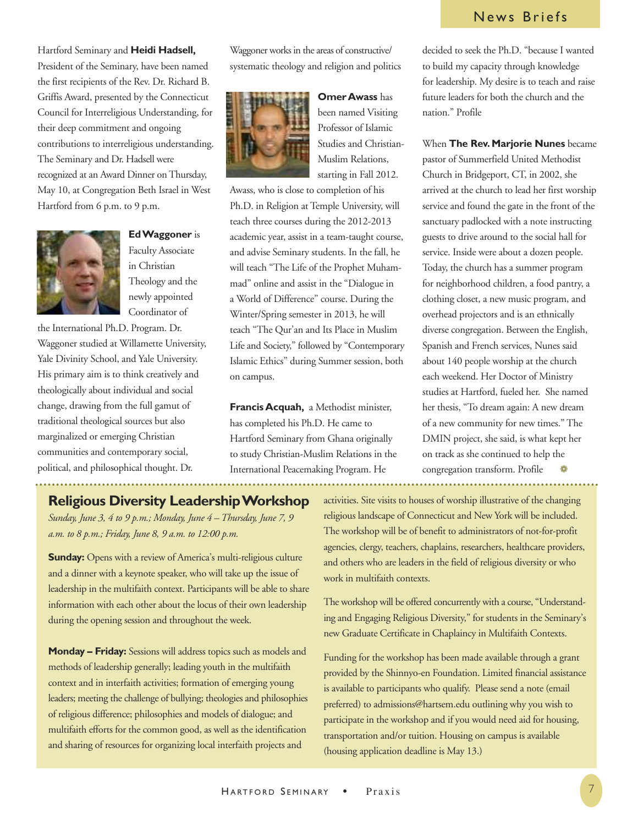# News Briefs

### Hartford Seminary and **Heidi Hadsell,**

President of the Seminary, have been named the first recipients of the Rev. Dr. Richard B. Griffis Award, presented by the Connecticut Council for Interreligious Understanding, for their deep commitment and ongoing contributions to interreligious understanding. The Seminary and Dr. Hadsell were recognized at an Award Dinner on Thursday, May 10, at Congregation Beth Israel in West Hartford from 6 p.m. to 9 p.m.



Faculty Associate in Christian Theology and the newly appointed Coordinator of

**EdWaggoner** is

the International Ph.D. Program. Dr. Waggoner studied at Willamette University, Yale Divinity School, and Yale University. His primary aim is to think creatively and theologically about individual and social change, drawing from the full gamut of traditional theological sources but also marginalized or emerging Christian communities and contemporary social, political, and philosophical thought. Dr.

Waggoner works in the areas of constructive/ systematic theology and religion and politics



**OmerAwass** has been named Visiting Professor of Islamic Studies and Christian-Muslim Relations, starting in Fall 2012.

Awass, who is close to completion of his Ph.D. in Religion at Temple University, will teach three courses during the 2012-2013 academic year, assist in a team-taught course, and advise Seminary students. In the fall, he will teach "The Life of the Prophet Muhammad" online and assist in the "Dialogue in a World of Difference" course. During the Winter/Spring semester in 2013, he will teach "The Qur'an and Its Place in Muslim Life and Society," followed by "Contemporary Islamic Ethics" during Summer session, both on campus.

**FrancisAcquah,** a Methodist minister, has completed his Ph.D. He came to Hartford Seminary from Ghana originally to study Christian-Muslim Relations in the International Peacemaking Program. He

decided to seek the Ph.D. "because I wanted to build my capacity through knowledge for leadership. My desire is to teach and raise future leaders for both the church and the nation." [Profile](http://www.hartsem.edu/faculty/najeeb-awad)

When **The Rev.Marjorie Nunes** became pastor of Summerfield United Methodist Church in Bridgeport, CT, in 2002, she arrived at the church to lead her first worship service and found the gate in the front of the sanctuary padlocked with a note instructing guests to drive around to the social hall for service. Inside were about a dozen people. Today, the church has a summer program for neighborhood children, a food pantry, a clothing closet, a new music program, and overhead projectors and is an ethnically diverse congregation. Between the English, Spanish and French services, Nunes said about 140 people worship at the church each weekend. Her Doctor of Ministry studies at Hartford, fueled her. She named her thesis, "To dream again: A new dream of a new community for new times." The DMIN project, she said, is what kept her on track as she continued to help the congregation transform. [Profile](https://creedible.wordpress.com/2012/03/26/bridgeport-church-reborn-to-serve-community/) 
<sup>•</sup>

### **Religious Diversity LeadershipWorkshop**

*Sunday, June 3, 4 to 9 p.m.; Monday, June 4 – Thursday, June 7, 9 a.m. to 8 p.m.; Friday, June 8, 9 a.m. to 12:00 p.m.*

**Sunday:** Opens with a review of America's multi-religious culture and a dinner with a keynote speaker, who will take up the issue of leadership in the multifaith context. Participants will be able to share information with each other about the locus of their own leadership during the opening session and throughout the week.

**Monday – Friday:** Sessions will address topics such as models and methods of leadership generally; leading youth in the multifaith context and in interfaith activities; formation of emerging young leaders; meeting the challenge of bullying; theologies and philosophies of religious difference; philosophies and models of dialogue; and multifaith efforts for the common good, as well as the identification and sharing of resources for organizing local interfaith projects and

activities. Site visits to houses of worship illustrative of the changing religious landscape of Connecticut and New York will be included. The workshop will be of benefit to administrators of not-for-profit agencies, clergy, teachers, chaplains, researchers, healthcare providers, and others who are leaders in the field of religious diversity or who work in multifaith contexts.

The workshop will be offered concurrently with a course, "Understanding and Engaging Religious Diversity," for students in the Seminary's new Graduate Certificate in Chaplaincy in Multifaith Contexts.

Funding for the workshop has been made available through a grant provided by the Shinnyo-en Foundation. Limited financial assistance is available to participants who qualify. Please send a note (email preferred) to admissions@hartsem.edu outlining why you wish to participate in the workshop and if you would need aid for housing, transportation and/or tuition. Housing on campus is available (housing application deadline is May 13.)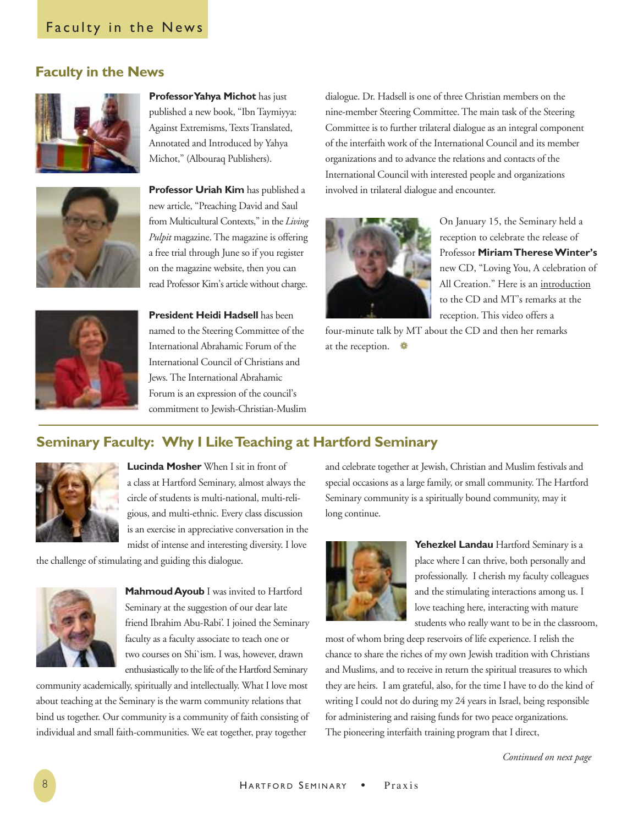# **Faculty in the News**



**ProfessorYahya Michot** has just published a new book, "IbnTaymiyya: Against Extremisms, Texts Translated, Annotated and Introduced by Yahya Michot," (Albouraq Publishers).



**Professor Uriah Kim** has published a new article, "Preaching David and Saul from Multicultural Contexts," in the *Living Pulpit* magazine. The magazine is offering a free trial through June so if you register on the magazine website, then you can read Professor Kim's article without charge.



**President Heidi Hadsell** has been named to the Steering Committee of the International Abrahamic Forum of the International Council of Christians and Jews. The International Abrahamic Forum is an expression of the council's commitment to Jewish-Christian-Muslim dialogue. Dr. Hadsell is one of three Christian members on the nine-member Steering Committee. The main task of the Steering Committee is to further trilateral dialogue as an integral component of the interfaith work of the International Council and its member organizations and to advance the relations and contacts of the International Council with interested people and organizations involved in trilateral dialogue and encounter.



On January 15, the Seminary held a reception to celebrate the release of Professor **MiriamThereseWinter's** new CD, "Loving You, A celebration of All Creation." Here is an [introduction](http://hartsem.edu/news/mt-winter-news) to the CD and MT's [remarks](http://hartsem.edu/news/mt-winter-news) at the reception. This video offers a

four-minute talk by MT about the CD and then her remarks at the reception. ❁

# **Seminary Faculty: Why I LikeTeaching at Hartford Seminary**



**Lucinda Mosher** When I sit in front of a class at Hartford Seminary, almost always the circle of students is multi-national, multi-religious, and multi-ethnic. Every class discussion is an exercise in appreciative conversation in the midst of intense and interesting diversity. I love

the challenge of stimulating and guiding this dialogue.



**MahmoudAyoub** I was invited to Hartford Seminary at the suggestion of our dear late friend Ibrahim Abu-Rabi'. I joined the Seminary faculty as a faculty associate to teach one or two courses on Shi`ism. I was, however, drawn enthusiastically to the life of the Hartford Seminary

community academically, spiritually and intellectually. What I love most about teaching at the Seminary is the warm community relations that bind us together. Our community is a community of faith consisting of individual and small faith-communities. We eat together, pray together

and celebrate together at Jewish, Christian and Muslim festivals and special occasions as a large family, or small community. The Hartford Seminary community is a spiritually bound community, may it long continue.



**Yehezkel Landau** Hartford Seminary is a place where I can thrive, both personally and professionally. I cherish my faculty colleagues and the stimulating interactions among us. I love teaching here, interacting with mature students who really want to be in the classroom,

most of whom bring deep reservoirs of life experience. I relish the chance to share the riches of my own Jewish tradition with Christians and Muslims, and to receive in return the spiritual treasures to which they are heirs. I am grateful, also, for the time I have to do the kind of writing I could not do during my 24 years in Israel, being responsible for administering and raising funds for two peace organizations. The pioneering interfaith training program that I direct,

*Continued on next page*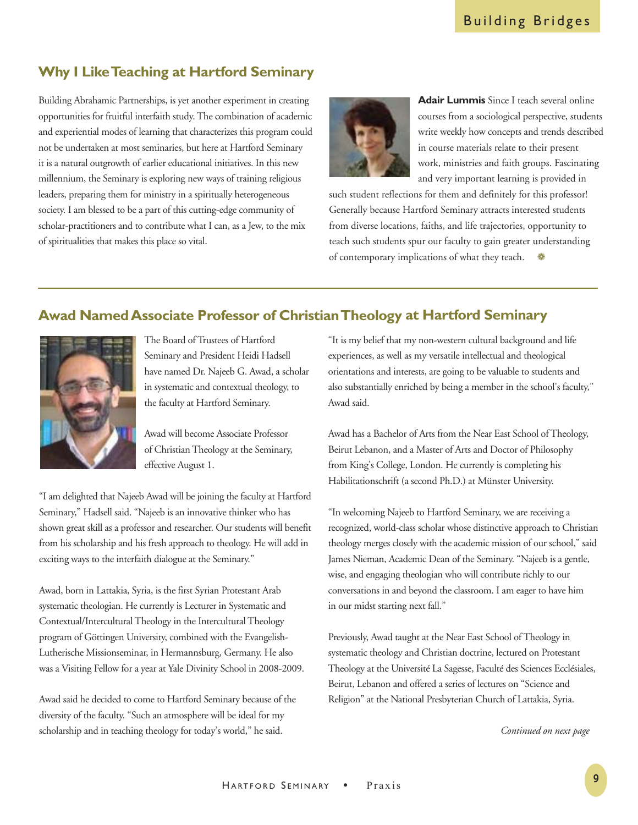# **Why I LikeTeaching at Hartford Seminary**

Building Abrahamic Partnerships, is yet another experiment in creating opportunities for fruitful interfaith study. The combination of academic and experiential modes of learning that characterizes this program could not be undertaken at most seminaries, but here at Hartford Seminary it is a natural outgrowth of earlier educational initiatives. In this new millennium, the Seminary is exploring new ways of training religious leaders, preparing them for ministry in a spiritually heterogeneous society. I am blessed to be a part of this cutting-edge community of scholar-practitioners and to contribute what I can, as a Jew, to the mix of spiritualities that makes this place so vital.



**Adair Lummis** Since I teach several online courses from a sociological perspective, students write weekly how concepts and trends described in course materials relate to their present work, ministries and faith groups. Fascinating and very important learning is provided in

such student reflections for them and definitely for this professor! Generally because Hartford Seminary attracts interested students from diverse locations, faiths, and life trajectories, opportunity to teach such students spur our faculty to gain greater understanding of contemporary implications of what they teach.

# **Awad NamedAssociate Professor of ChristianTheology at Hartford Seminary**



The Board of Trustees of Hartford Seminary and President Heidi Hadsell have named Dr. Najeeb G. Awad, a scholar in systematic and contextual theology, to the faculty at Hartford Seminary.

Awad will become Associate Professor of ChristianTheology at the Seminary, effective August 1.

"I am delighted that Najeeb Awad will be joining the faculty at Hartford Seminary," Hadsell said. "Najeeb is an innovative thinker who has shown great skill as a professor and researcher. Our students will benefit from his scholarship and his fresh approach to theology. He will add in exciting ways to the interfaith dialogue at the Seminary."

Awad, born in Lattakia, Syria, is the first Syrian Protestant Arab systematic theologian. He currently is Lecturer in Systematic and Contextual/Intercultural Theology in the Intercultural Theology program of Göttingen University, combined with the Evangelish-Lutherische Missionseminar, in Hermannsburg, Germany. He also was a Visiting Fellow for a year at Yale Divinity School in 2008-2009.

Awad said he decided to come to Hartford Seminary because of the diversity of the faculty. "Such an atmosphere will be ideal for my scholarship and in teaching theology for today's world," he said.

"It is my belief that my non-western cultural background and life experiences, as well as my versatile intellectual and theological orientations and interests, are going to be valuable to students and also substantially enriched by being a member in the school's faculty," Awad said.

Awad has a Bachelor of Arts from the Near East School of Theology, Beirut Lebanon, and a Master of Arts and Doctor of Philosophy from King's College, London. He currently is completing his Habilitationschrift (a second Ph.D.) at Münster University.

"In welcoming Najeeb to Hartford Seminary, we are receiving a recognized, world-class scholar whose distinctive approach to Christian theology merges closely with the academic mission of our school," said James Nieman, Academic Dean of the Seminary. "Najeeb is a gentle, wise, and engaging theologian who will contribute richly to our conversations in and beyond the classroom. I am eager to have him in our midst starting next fall."

Previously, Awad taught at the Near East School of Theology in systematic theology and Christian doctrine, lectured on Protestant Theology at the Université La Sagesse, Faculté des Sciences Ecclésiales, Beirut, Lebanon and offered a series of lectures on "Science and Religion" at the National Presbyterian Church of Lattakia, Syria.

*Continued on next page*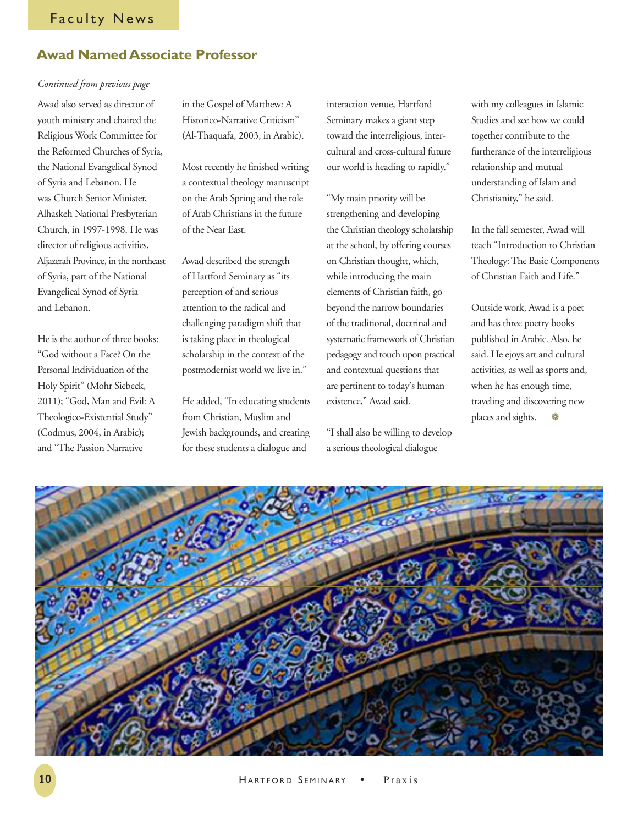# **Awad NamedAssociate Professor**

### *Continued from previous page*

Awad also served as director of youth ministry and chaired the Religious Work Committee for the Reformed Churches of Syria, the National Evangelical Synod of Syria and Lebanon. He was Church Senior Minister, Alhaskeh National Presbyterian Church, in 1997-1998. He was director of religious activities, Aljazerah Province, in the northeast of Syria, part of the National Evangelical Synod of Syria and Lebanon.

He is the author of three books: "God without a Face? On the Personal Individuation of the Holy Spirit" (Mohr Siebeck, 2011); "God, Man and Evil: A Theologico-Existential Study" (Codmus, 2004, in Arabic); and "The Passion Narrative

in the Gospel of Matthew: A Historico-Narrative Criticism" (Al-Thaquafa, 2003, in Arabic).

Most recently he finished writing a contextual theology manuscript on the Arab Spring and the role of Arab Christians in the future of the Near East.

Awad described the strength of Hartford Seminary as "its perception of and serious attention to the radical and challenging paradigm shift that is taking place in theological scholarship in the context of the postmodernist world we live in."

He added, "In educating students from Christian, Muslim and Jewish backgrounds, and creating for these students a dialogue and

interaction venue, Hartford Seminary makes a giant step toward the interreligious, intercultural and cross-cultural future our world is heading to rapidly."

"My main priority will be strengthening and developing the Christian theology scholarship at the school, by offering courses on Christian thought, which, while introducing the main elements of Christian faith, go beyond the narrow boundaries of the traditional, doctrinal and systematic framework of Christian pedagogy and touch upon practical and contextual questions that are pertinent to today's human existence," Awad said.

"I shall also be willing to develop a serious theological dialogue

with my colleagues in Islamic Studies and see how we could together contribute to the furtherance of the interreligious relationship and mutual understanding of Islam and Christianity," he said.

In the fall semester, Awad will teach "Introduction to Christian Theology:The Basic Components of Christian Faith and Life."

Outside work, Awad is a poet and has three poetry books published in Arabic. Also, he said. He ejoys art and cultural activities, as well as sports and, when he has enough time, traveling and discovering new places and sights.  $\bullet$ 

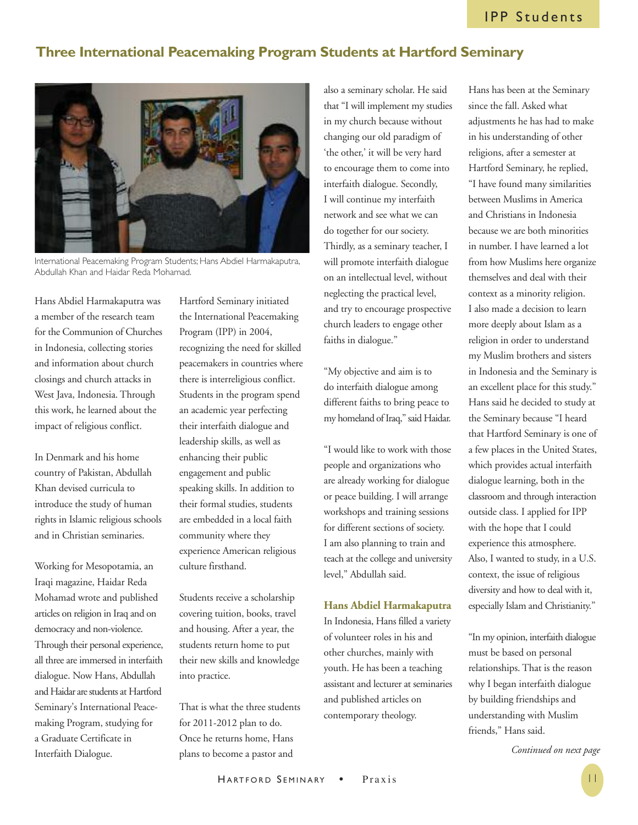# **Three International Peacemaking Program Students at Hartford Seminary**



International Peacemaking Program Students; Hans Abdiel Harmakaputra, Abdullah Khan and Haidar Reda Mohamad.

Hans Abdiel Harmakaputra was a member of the research team for the Communion of Churches in Indonesia, collecting stories and information about church closings and church attacks in West Java, Indonesia. Through this work, he learned about the impact of religious conflict.

In Denmark and his home country of Pakistan, Abdullah Khan devised curricula to introduce the study of human rights in Islamic religious schools and in Christian seminaries.

Working for Mesopotamia, an Iraqi magazine, Haidar Reda Mohamad wrote and published articles on religion in Iraq and on democracy and non-violence. Through their personal experience, all three are immersed in interfaith dialogue. Now Hans, Abdullah and Haidar arestudents at Hartford Seminary's International Peacemaking Program, studying for a Graduate Certificate in Interfaith Dialogue.

Hartford Seminary initiated the International Peacemaking Program (IPP) in 2004, recognizing the need for skilled peacemakers in countries where there is interreligious conflict. Students in the program spend an academic year perfecting their interfaith dialogue and leadership skills, as well as enhancing their public engagement and public speaking skills. In addition to their formal studies, students are embedded in a local faith community where they experience American religious culture firsthand.

Students receive a scholarship covering tuition, books, travel and housing. After a year, the students return home to put their new skills and knowledge into practice.

That is what the three students for 2011-2012 plan to do. Once he returns home, Hans plans to become a pastor and

also a seminary scholar. He said that "I will implement my studies in my church because without changing our old paradigm of 'the other,' it will be very hard to encourage them to come into interfaith dialogue. Secondly, I will continue my interfaith network and see what we can do together for our society. Thirdly, as a seminary teacher, I will promote interfaith dialogue on an intellectual level, without neglecting the practical level, and try to encourage prospective church leaders to engage other faiths in dialogue."

"My objective and aim is to do interfaith dialogue among different faiths to bring peace to my homeland of Iraq," said Haidar.

"I would like to work with those people and organizations who are already working for dialogue or peace building. I will arrange workshops and training sessions for different sections of society. I am also planning to train and teach at the college and university level," Abdullah said.

### **Hans Abdiel Harmakaputra**

In Indonesia, Hans filled a variety of volunteer roles in his and other churches, mainly with youth. He has been a teaching assistant and lecturer at seminaries and published articles on contemporary theology.

Hans has been at the Seminary since the fall. Asked what adjustments he has had to make in his understanding of other religions, after a semester at Hartford Seminary, he replied, "I have found many similarities between Muslims in America and Christians in Indonesia because we are both minorities in number. I have learned a lot from how Muslims here organize themselves and deal with their context as a minority religion. I also made a decision to learn more deeply about Islam as a religion in order to understand my Muslim brothers and sisters in Indonesia and the Seminary is an excellent place for this study." Hans said he decided to study at the Seminary because "I heard that Hartford Seminary is one of a few places in the United States, which provides actual interfaith dialogue learning, both in the classroom and through interaction outside class. I applied for IPP with the hope that I could experience this atmosphere. Also, I wanted to study, in a U.S. context, the issue of religious diversity and how to deal with it, especially Islam and Christianity."

"In my opinion, interfaith dialogue must be based on personal relationships. That is the reason why I began interfaith dialogue by building friendships and understanding with Muslim friends," Hans said.

*Continued on next page*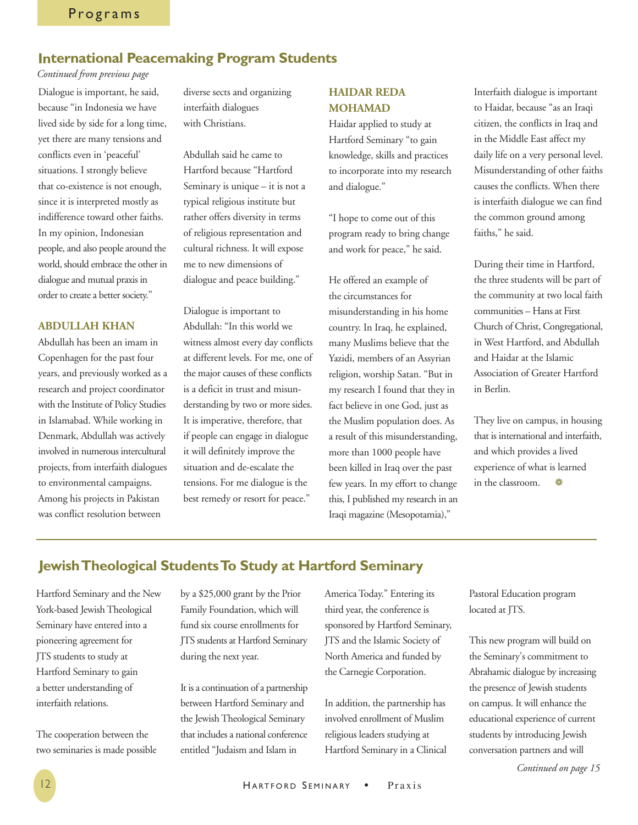# **International Peacemaking Program Students**

*Continued from previous page*

Dialogue is important, he said, because "in Indonesia we have lived side by side for a long time, yet there are many tensions and conflicts even in 'peaceful' situations. I strongly believe that co-existence is not enough, since it is interpreted mostly as indifference toward other faiths. In my opinion, Indonesian people, and also people around the world, should embrace the other in dialogue and mutual praxis in order to create a better society."

### **ABDULLAH KHAN**

Abdullah has been an imam in Copenhagen for the past four years, and previously worked as a research and project coordinator with the Institute of Policy Studies in Islamabad. While working in Denmark, Abdullah was actively involved in numerous intercultural projects, from interfaith dialogues to environmental campaigns. Among his projects in Pakistan was conflict resolution between

diverse sects and organizing interfaith dialogues with Christians.

Abdullah said he came to Hartford because "Hartford Seminary is unique – it is not a typical religious institute but rather offers diversity in terms of religious representation and cultural richness. It will expose me to new dimensions of dialogue and peace building."

Dialogue is important to Abdullah: "In this world we witness almost every day conflicts at different levels. For me, one of the major causes of these conflicts is a deficit in trust and misunderstanding by two or more sides. It is imperative, therefore, that if people can engage in dialogue it will definitely improve the situation and de-escalate the tensions. For me dialogue is the best remedy or resort for peace."

## **HAIDAR REDA MOHAMAD**

Haidar applied to study at Hartford Seminary "to gain knowledge, skills and practices to incorporate into my research and dialogue."

"I hope to come out of this program ready to bring change and work for peace," he said.

He offered an example of the circumstances for misunderstanding in his home country. In Iraq, he explained, many Muslims believe that the Yazidi, members of an Assyrian religion, worship Satan. "But in my research I found that they in fact believe in one God, just as the Muslim population does. As a result of this misunderstanding, more than 1000 people have been killed in Iraq over the past few years. In my effort to change this, I published my research in an Iraqi magazine (Mesopotamia),"

Interfaith dialogue is important to Haidar, because "as an Iraqi citizen, the conflicts in Iraq and in the Middle East affect my daily life on a very personal level. Misunderstanding of other faiths causes the conflicts. When there is interfaith dialogue we can find the common ground among faiths," he said.

During their time in Hartford, the three students will be part of the community at two local faith communities – Hans at First Church of Christ, Congregational, in West Hartford, and Abdullah and Haidar at the Islamic Association of Greater Hartford in Berlin.

They live on campus, in housing that is international and interfaith, and which provides a lived experience of what is learned in the classroom. ❁

# **JewishTheological StudentsTo Study at Hartford Seminary**

Hartford Seminary and the New York-based Jewish Theological Seminary have entered into a pioneering agreement for JTS students to study at Hartford Seminary to gain a better understanding of interfaith relations.

The cooperation between the two seminaries is made possible by a \$25,000 grant by the Prior Family Foundation, which will fund six course enrollments for JTS students at Hartford Seminary during the next year.

It is a continuation of a partnership between Hartford Seminary and the Jewish Theological Seminary that includes a national conference entitled "Judaism and Islam in

America Today." Entering its third year, the conference is sponsored by Hartford Seminary, JTS and the Islamic Society of North America and funded by the Carnegie Corporation.

In addition, the partnership has involved enrollment of Muslim religious leaders studying at Hartford Seminary in a Clinical Pastoral Education program located at JTS.

This new program will build on the Seminary's commitment to Abrahamic dialogue by increasing the presence of Jewish students on campus. It will enhance the educational experience of current students by introducing Jewish conversation partners and will

*Continued on page 15*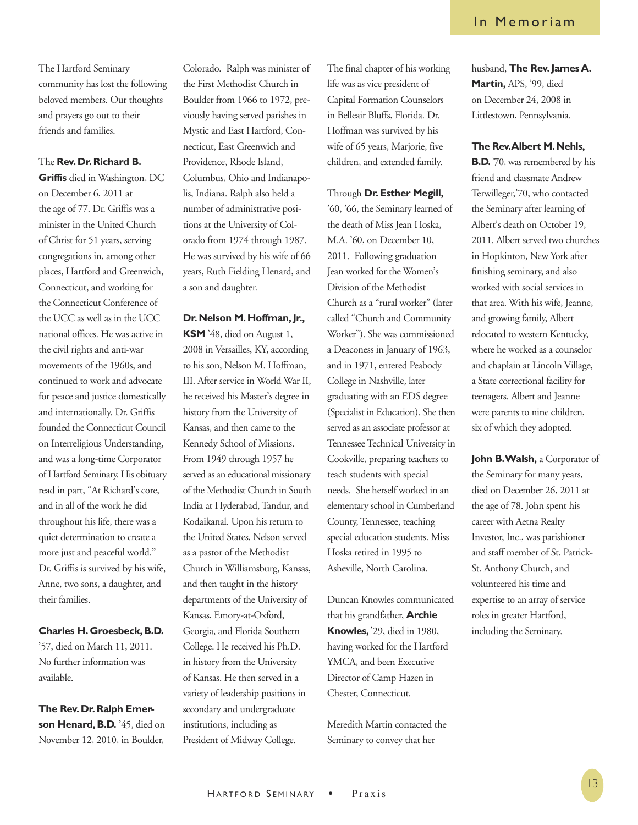The Hartford Seminary community has lost the following beloved members. Our thoughts and prayers go out to their friends and families.

### The **Rev. Dr.Richard B.**

**Griffis** died in Washington, DC on December 6, 2011 at the age of 77. Dr. Griffis was a minister in the United Church of Christ for 51 years, serving congregations in, among other places, Hartford and Greenwich, Connecticut, and working for the Connecticut Conference of the UCC as well as in the UCC national offices. He was active in the civil rights and anti-war movements of the 1960s, and continued to work and advocate for peace and justice domestically and internationally. Dr. Griffis founded the Connecticut Council on Interreligious Understanding, and was a long-time Corporator of Hartford Seminary. His obituary read in part, "At Richard's core, and in all of the work he did throughout his life, there was a quiet determination to create a more just and peaceful world." Dr. Griffis is survived by his wife, Anne, two sons, a daughter, and their families.

### **Charles H. Groesbeck,B.D.**

'57, died on March 11, 2011. No further information was available.

**The Rev. Dr.Ralph Emer**son Henard, B.D. '45, died on November 12, 2010, in Boulder, Colorado. Ralph was minister of the First Methodist Church in Boulder from 1966 to 1972, previously having served parishes in Mystic and East Hartford, Connecticut, East Greenwich and Providence, Rhode Island, Columbus, Ohio and Indianapolis, Indiana. Ralph also held a number of administrative positions at the University of Colorado from 1974 through 1987. He was survived by his wife of 66 years, Ruth Fielding Henard, and a son and daughter.

### **Dr.Nelson M.Hoffman,Jr.,**

**KSM** '48, died on August 1, 2008 in Versailles, KY, according to his son, Nelson M. Hoffman, III. After service in World War II, he received his Master's degree in history from the University of Kansas, and then came to the Kennedy School of Missions. From 1949 through 1957 he served as an educational missionary of the Methodist Church in South India at Hyderabad, Tandur, and Kodaikanal. Upon his return to the United States, Nelson served as a pastor of the Methodist Church in Williamsburg, Kansas, and then taught in the history departments of the University of Kansas, Emory-at-Oxford, Georgia, and Florida Southern College. He received his Ph.D. in history from the University of Kansas. He then served in a variety of leadership positions in secondary and undergraduate institutions, including as President of Midway College.

The final chapter of his working life was as vice president of Capital Formation Counselors in Belleair Bluffs, Florida. Dr. Hoffman was survived by his wife of 65 years, Marjorie, five children, and extended family.

Through **Dr.Esther Megill,** '60, '66, the Seminary learned of the death of Miss Jean Hoska, M.A. '60, on December 10, 2011. Following graduation Jean worked for the Women's Division of the Methodist Church as a "rural worker" (later called "Church and Community Worker"). She was commissioned a Deaconess in January of 1963, and in 1971, entered Peabody College in Nashville, later graduating with an EDS degree (Specialist in Education). She then served as an associate professor at Tennessee Technical University in Cookville, preparing teachers to teach students with special needs. She herself worked in an elementary school in Cumberland County, Tennessee, teaching special education students. Miss Hoska retired in 1995 to Asheville, North Carolina.

Duncan Knowles communicated that his grandfather, **Archie Knowles,** '29, died in 1980, having worked for the Hartford YMCA, and been Executive Director of Camp Hazen in Chester, Connecticut.

Meredith Martin contacted the Seminary to convey that her

husband, **The Rev.JamesA. Martin,** APS, '99, died on December 24, 2008 in Littlestown, Pennsylvania.

### **The Rev.Albert M.Nehls,**

**B.D.**'70, was remembered by his friend and classmate Andrew Terwilleger,'70, who contacted the Seminary after learning of Albert's death on October 19, 2011. Albert served two churches in Hopkinton, New York after finishing seminary, and also worked with social services in that area. With his wife, Jeanne, and growing family, Albert relocated to western Kentucky, where he worked as a counselor and chaplain at Lincoln Village, a State correctional facility for teenagers. Albert and Jeanne were parents to nine children, six of which they adopted.

**John B.Walsh,** a Corporator of the Seminary for many years, died on December 26, 2011 at the age of 78. John spent his career with Aetna Realty Investor, Inc., was parishioner and staff member of St. Patrick-St. Anthony Church, and volunteered his time and expertise to an array of service roles in greater Hartford, including the Seminary.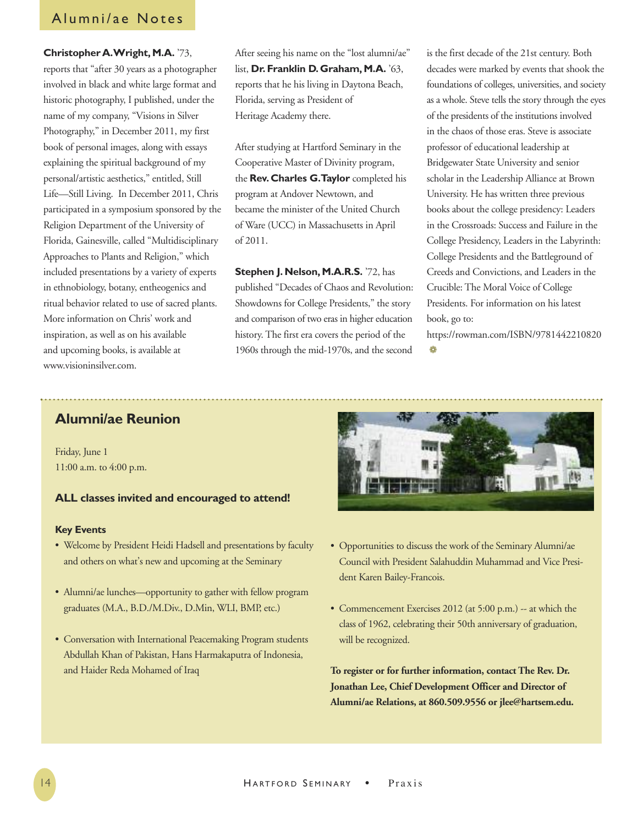# Alumni/ae Notes

### **Christopher A. Wright, M.A.** '73,

reports that "after 30 years as a photographer involved in black and white large format and historic photography, I published, under the name of my company, "Visions in Silver Photography," in December 2011, my first book of personal images, along with essays explaining the spiritual background of my personal/artistic aesthetics," entitled, Still Life—Still Living. In December 2011, Chris participated in a symposium sponsored by the Religion Department of the University of Florida, Gainesville, called "Multidisciplinary Approaches to Plants and Religion," which included presentations by a variety of experts in ethnobiology, botany, entheogenics and ritual behavior related to use of sacred plants. More information on Chris' work and inspiration, as well as on his available and upcoming books, is available at www.visioninsilver.com.

After seeing his name on the "lost alumni/ae" list, **Dr. Franklin D. Graham, M.A.** '63, reports that he his living in Daytona Beach, Florida, serving as President of Heritage Academy there.

After studying at Hartford Seminary in the Cooperative Master of Divinity program, the **Rev.Charles G.Taylor** completed his program at Andover Newtown, and became the minister of the United Church of Ware (UCC) in Massachusetts in April of 2011.

**Stephen J. Nelson, M.A.R.S.** '72, has published "Decades of Chaos and Revolution: Showdowns for College Presidents," the story and comparison of two eras in higher education history. The first era covers the period of the 1960s through the mid-1970s, and the second

is the first decade of the 21st century. Both decades were marked by events that shook the foundations of colleges, universities, and society as a whole. Steve tells the story through the eyes of the presidents of the institutions involved in the chaos of those eras. Steve is associate professor of educational leadership at Bridgewater State University and senior scholar in the Leadership Alliance at Brown University. He has written three previous books about the college presidency: Leaders in the Crossroads: Success and Failure in the College Presidency, Leaders in the Labyrinth: College Presidents and the Battleground of Creeds and Convictions, and Leaders in the Crucible: The Moral Voice of College Presidents. For information on his latest book, go to:

<https://rowman.com/ISBN/9781442210820> ❁

# **Alumni/ae Reunion**

Friday, June 1 11:00 a.m. to 4:00 p.m.

### **ALL classes invited and encouraged to attend!**

### **Key Events**

- Welcome by President Heidi Hadsell and presentations by faculty and others on what's new and upcoming at the Seminary
- Alumni/ae lunches—opportunity to gather with fellow program graduates (M.A., B.D./M.Div., D.Min, WLI, BMP, etc.)
- Conversation with International Peacemaking Program students Abdullah Khan of Pakistan, Hans Harmakaputra of Indonesia, and Haider Reda Mohamed of Iraq



- Opportunities to discuss the work of the Seminary Alumni/ae Council with President Salahuddin Muhammad and Vice President Karen Bailey-Francois.
- Commencement Exercises 2012 (at 5:00 p.m.) -- at which the class of 1962, celebrating their 50th anniversary of graduation, will be recognized.

**To register or for further information, contact The Rev. Dr. Jonathan Lee, Chief Development Officer and Director of Alumni/ae Relations, at 860.509.9556 or jlee@hartsem.edu.**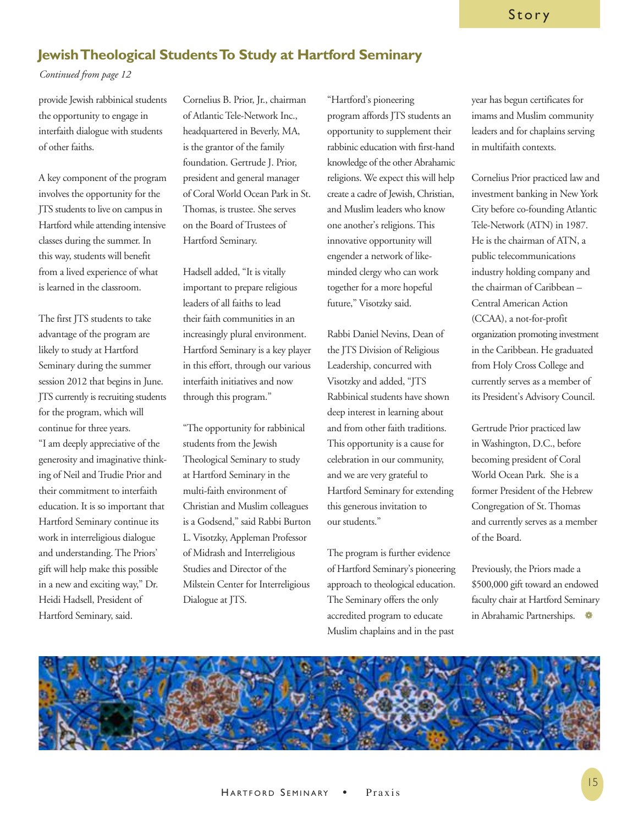# **JewishTheological StudentsTo Study at Hartford Seminary**

### *Continued from page 12*

provide Jewish rabbinical students the opportunity to engage in interfaith dialogue with students of other faiths.

A key component of the program involves the opportunity for the JTS students to live on campus in Hartford while attending intensive classes during the summer. In this way, students will benefit from a lived experience of what is learned in the classroom.

The first JTS students to take advantage of the program are likely to study at Hartford Seminary during the summer session 2012 that begins in June. JTS currently is recruiting students for the program, which will continue for three years.

"I am deeply appreciative of the generosity and imaginative thinking of Neil and Trudie Prior and their commitment to interfaith education. It is so important that Hartford Seminary continue its work in interreligious dialogue and understanding. The Priors' gift will help make this possible in a new and exciting way," Dr. Heidi Hadsell, President of Hartford Seminary, said.

Cornelius B. Prior, Jr., chairman of Atlantic Tele-Network Inc., headquartered in Beverly, MA, is the grantor of the family foundation. Gertrude J. Prior, president and general manager of Coral World Ocean Park in St. Thomas, is trustee. She serves on the Board of Trustees of Hartford Seminary.

Hadsell added, "It is vitally important to prepare religious leaders of all faiths to lead their faith communities in an increasingly plural environment. Hartford Seminary is a key player in this effort, through our various interfaith initiatives and now through this program."

"The opportunity for rabbinical students from the Jewish Theological Seminary to study at Hartford Seminary in the multi-faith environment of Christian and Muslim colleagues is a Godsend," said Rabbi Burton L. Visotzky, Appleman Professor of Midrash and Interreligious Studies and Director of the Milstein Center for Interreligious Dialogue at JTS.

"Hartford's pioneering program affords JTS students an opportunity to supplement their rabbinic education with first-hand knowledge of the other Abrahamic religions. We expect this will help create a cadre of Jewish, Christian, and Muslim leaders who know one another's religions. This innovative opportunity will engender a network of likeminded clergy who can work together for a more hopeful future," Visotzky said.

Rabbi Daniel Nevins, Dean of the JTS Division of Religious Leadership, concurred with Visotzky and added, "JTS Rabbinical students have shown deep interest in learning about and from other faith traditions. This opportunity is a cause for celebration in our community, and we are very grateful to Hartford Seminary for extending this generous invitation to our students."

The program is further evidence of Hartford Seminary's pioneering approach to theological education. The Seminary offers the only accredited program to educate Muslim chaplains and in the past

year has begun certificates for imams and Muslim community leaders and for chaplains serving in multifaith contexts.

Cornelius Prior practiced law and investment banking in New York City before co-founding Atlantic Tele-Network (ATN) in 1987. He is the chairman of ATN, a public telecommunications industry holding company and the chairman of Caribbean – Central American Action (CCAA), a not-for-profit organization promoting investment in the Caribbean. He graduated from Holy Cross College and currently serves as a member of its President's Advisory Council.

Gertrude Prior practiced law in Washington, D.C., before becoming president of Coral World Ocean Park. She is a former President of the Hebrew Congregation of St. Thomas and currently serves as a member of the Board.

Previously, the Priors made a \$500,000 gift toward an endowed faculty chair at Hartford Seminary in Abrahamic Partnerships.  $\bullet$ 

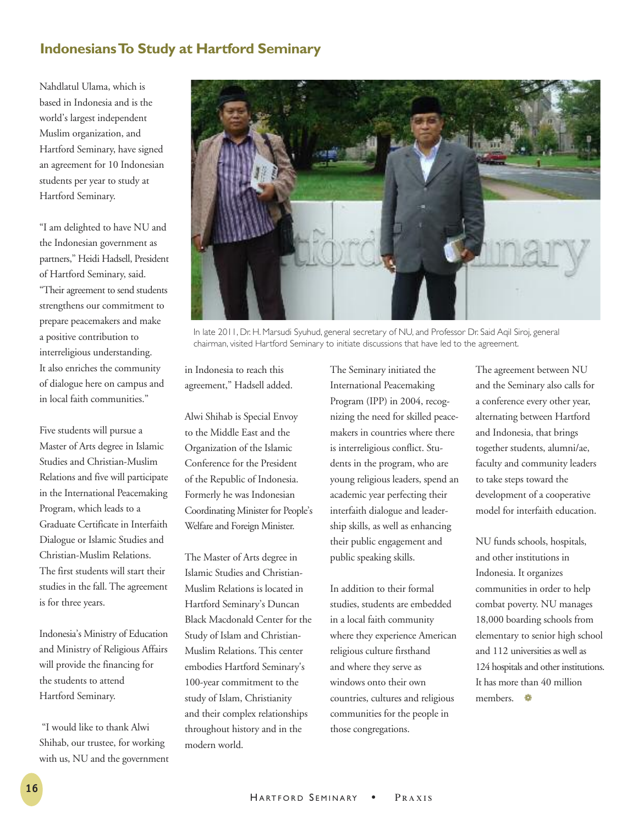# **IndonesiansTo Study at Hartford Seminary**

Nahdlatul Ulama, which is based in Indonesia and is the world's largest independent Muslim organization, and Hartford Seminary, have signed an agreement for 10 Indonesian students per year to study at Hartford Seminary.

"I am delighted to have NU and the Indonesian government as partners," Heidi Hadsell, President of Hartford Seminary, said. "Their agreement to send students strengthens our commitment to prepare peacemakers and make a positive contribution to interreligious understanding. It also enriches the community of dialogue here on campus and in local faith communities."

Five students will pursue a Master of Arts degree in Islamic Studies and Christian-Muslim Relations and five will participate in the International Peacemaking Program, which leads to a Graduate Certificate in Interfaith Dialogue or Islamic Studies and Christian-Muslim Relations. The first students will start their studies in the fall. The agreement is for three years.

Indonesia's Ministry of Education and Ministry of Religious Affairs will provide the financing for the students to attend Hartford Seminary.

"I would like to thank Alwi Shihab, our trustee, for working with us, NU and the government



In late 2011, Dr. H. Marsudi Syuhud, general secretary of NU, and Professor Dr. Said Aqil Siroj, general chairman, visited Hartford Seminary to initiate discussions that have led to the agreement.

in Indonesia to reach this agreement," Hadsell added.

Alwi Shihab is Special Envoy to the Middle East and the Organization of the Islamic Conference for the President of the Republic of Indonesia. Formerly he was Indonesian Coordinating Minister for People's Welfare and Foreign Minister.

The Master of Arts degree in Islamic Studies and Christian-Muslim Relations is located in Hartford Seminary's Duncan Black Macdonald Center for the Study of Islam and Christian-Muslim Relations. This center embodies Hartford Seminary's 100-year commitment to the study of Islam, Christianity and their complex relationships throughout history and in the modern world.

The Seminary initiated the International Peacemaking Program (IPP) in 2004, recognizing the need for skilled peacemakers in countries where there is interreligious conflict. Students in the program, who are young religious leaders, spend an academic year perfecting their interfaith dialogue and leadership skills, as well as enhancing their public engagement and public speaking skills.

In addition to their formal studies, students are embedded in a local faith community where they experience American religious culture firsthand and where they serve as windows onto their own countries, cultures and religious communities for the people in those congregations.

The agreement between NU and the Seminary also calls for a conference every other year, alternating between Hartford and Indonesia, that brings together students, alumni/ae, faculty and community leaders to take steps toward the development of a cooperative model for interfaith education.

NU funds schools, hospitals, and other institutions in Indonesia. It organizes communities in order to help combat poverty. NU manages 18,000 boarding schools from elementary to senior high school and 112 universities as well as 124 hospitals and other institutions. It has more than 40 million members. ❁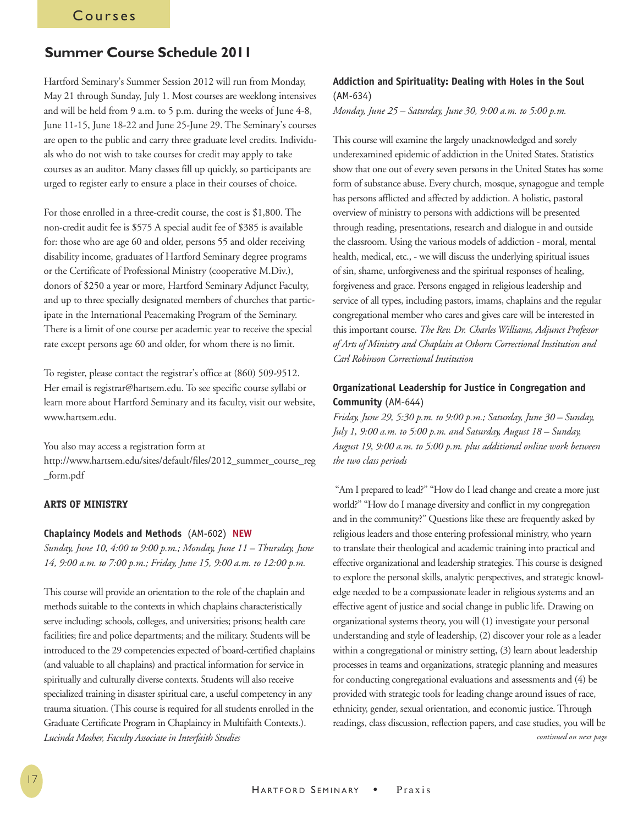# **Summer Course Schedule 2011**

Hartford Seminary's Summer Session 2012 will run from Monday, May 21 through Sunday, July 1. Most courses are weeklong intensives and will be held from 9 a.m. to 5 p.m. during the weeks of June 4-8, June 11-15, June 18-22 and June 25-June 29. The Seminary's courses are open to the public and carry three graduate level credits. Individuals who do not wish to take courses for credit may apply to take courses as an auditor. Many classes fill up quickly, so participants are urged to register early to ensure a place in their courses of choice.

For those enrolled in a three-credit course, the cost is \$1,800. The non-credit audit fee is \$575 A special audit fee of \$385 is available for: those who are age 60 and older, persons 55 and older receiving disability income, graduates of Hartford Seminary degree programs or the Certificate of Professional Ministry (cooperative M.Div.), donors of \$250 a year or more, Hartford Seminary Adjunct Faculty, and up to three specially designated members of churches that participate in the International Peacemaking Program of the Seminary. There is a limit of one course per academic year to receive the special rate except persons age 60 and older, for whom there is no limit.

To register, please contact the registrar's office at (860) 509-9512. Her email is registrar@hartsem.edu. To see specific course syllabi or learn more about Hartford Seminary and its faculty, visit our website, www.hartsem.edu.

You also may access a registration form at [http://www.hartsem.edu/sites/default/files/2012\\_summer\\_course\\_reg](http://www.hartsem.edu/sites/default/files/2012_summer_course_reg_form.pdf) [\\_form.pdf](http://www.hartsem.edu/sites/default/files/2012_summer_course_reg_form.pdf)

### **ARTS OF MINISTRY**

### **Chaplaincy Models and Methods** (AM-602) **NEW**

*Sunday, June 10, 4:00 to 9:00 p.m.; Monday, June 11 – Thursday, June 14, 9:00 a.m. to 7:00 p.m.; Friday, June 15, 9:00 a.m. to 12:00 p.m.*

This course will provide an orientation to the role of the chaplain and methods suitable to the contexts in which chaplains characteristically serve including: schools, colleges, and universities; prisons; health care facilities; fire and police departments; and the military. Students will be introduced to the 29 competencies expected of board-certified chaplains (and valuable to all chaplains) and practical information for service in spiritually and culturally diverse contexts. Students will also receive specialized training in disaster spiritual care, a useful competency in any trauma situation. (This course is required for all students enrolled in the Graduate Certificate Program in Chaplaincy in Multifaith Contexts.). *Lucinda Mosher, Faculty Associate in Interfaith Studies*

### **Addiction and Spirituality: Dealing with Holes in the Soul** (AM-634)

*Monday, June 25 – Saturday, June 30, 9:00 a.m. to 5:00 p.m.*

This course will examine the largely unacknowledged and sorely underexamined epidemic of addiction in the United States. Statistics show that one out of every seven persons in the United States has some form of substance abuse. Every church, mosque, synagogue and temple has persons afflicted and affected by addiction. A holistic, pastoral overview of ministry to persons with addictions will be presented through reading, presentations, research and dialogue in and outside the classroom. Using the various models of addiction - moral, mental health, medical, etc., - we will discuss the underlying spiritual issues of sin, shame, unforgiveness and the spiritual responses of healing, forgiveness and grace. Persons engaged in religious leadership and service of all types, including pastors, imams, chaplains and the regular congregational member who cares and gives care will be interested in this important course. *The Rev. Dr. Charles Williams, Adjunct Professor of Arts of Ministry and Chaplain at Osborn Correctional Institution and Carl Robinson Correctional Institution*

### **Organizational Leadership for Justice in Congregation and Community** (AM-644)

*Friday, June 29, 5:30 p.m. to 9:00 p.m.; Saturday, June 30 – Sunday, July 1, 9:00 a.m. to 5:00 p.m. and Saturday, August 18 – Sunday, August 19, 9:00 a.m. to 5:00 p.m. plus additional online work between the two class periods*

"Am I prepared to lead?" "How do I lead change and create a more just world?" "How do I manage diversity and conflict in my congregation and in the community?" Questions like these are frequently asked by religious leaders and those entering professional ministry, who yearn to translate their theological and academic training into practical and effective organizational and leadership strategies.This course is designed to explore the personal skills, analytic perspectives, and strategic knowledge needed to be a compassionate leader in religious systems and an effective agent of justice and social change in public life. Drawing on organizational systems theory, you will (1) investigate your personal understanding and style of leadership, (2) discover your role as a leader within a congregational or ministry setting, (3) learn about leadership processes in teams and organizations, strategic planning and measures for conducting congregational evaluations and assessments and (4) be provided with strategic tools for leading change around issues of race, ethnicity, gender, sexual orientation, and economic justice. Through readings, class discussion, reflection papers, and case studies, you will be *continued on next page*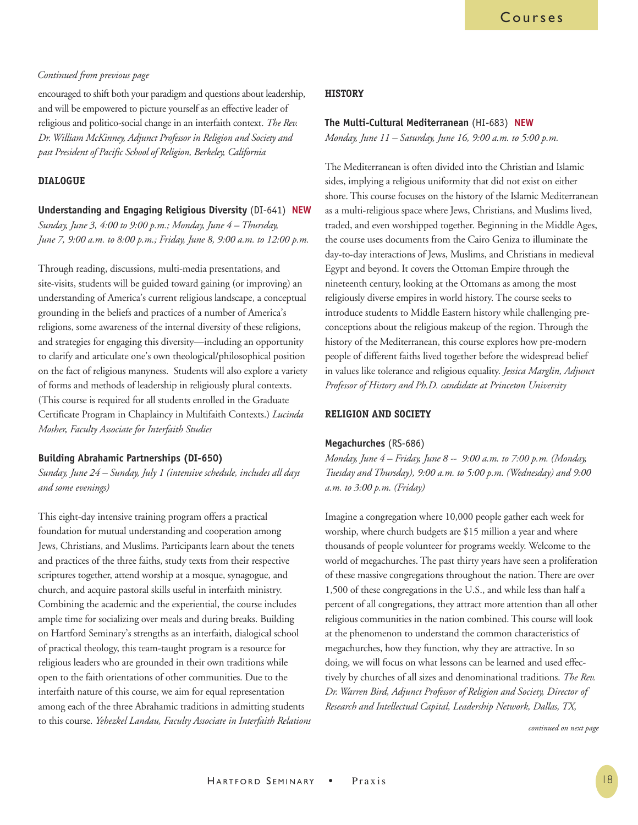### *Continued from previous page*

encouraged to shift both your paradigm and questions about leadership, and will be empowered to picture yourself as an effective leader of religious and politico-social change in an interfaith context. *The Rev. Dr. William McKinney, Adjunct Professor in Religion and Society and past President of Pacific School of Religion, Berkeley, California*

### **DIALOGUE**

**Understanding and Engaging Religious Diversity** (DI-641) **NEW** *Sunday, June 3, 4:00 to 9:00 p.m.; Monday, June 4 – Thursday, June 7, 9:00 a.m. to 8:00 p.m.; Friday, June 8, 9:00 a.m. to 12:00 p.m.*

Through reading, discussions, multi-media presentations, and site-visits, students will be guided toward gaining (or improving) an understanding of America's current religious landscape, a conceptual grounding in the beliefs and practices of a number of America's religions, some awareness of the internal diversity of these religions, and strategies for engaging this diversity—including an opportunity to clarify and articulate one's own theological/philosophical position on the fact of religious manyness. Students will also explore a variety of forms and methods of leadership in religiously plural contexts. (This course is required for all students enrolled in the Graduate Certificate Program in Chaplaincy in Multifaith Contexts.) *Lucinda Mosher, Faculty Associate for Interfaith Studies*

### **Building Abrahamic Partnerships (DI-650)**

*Sunday, June 24 – Sunday, July 1 (intensive schedule, includes all days and some evenings)*

This eight-day intensive training program offers a practical foundation for mutual understanding and cooperation among Jews, Christians, and Muslims. Participants learn about the tenets and practices of the three faiths, study texts from their respective scriptures together, attend worship at a mosque, synagogue, and church, and acquire pastoral skills useful in interfaith ministry. Combining the academic and the experiential, the course includes ample time for socializing over meals and during breaks. Building on Hartford Seminary's strengths as an interfaith, dialogical school of practical theology, this team-taught program is a resource for religious leaders who are grounded in their own traditions while open to the faith orientations of other communities. Due to the interfaith nature of this course, we aim for equal representation among each of the three Abrahamic traditions in admitting students to this course. *Yehezkel Landau, Faculty Associate in Interfaith Relations*

### **HISTORY**

### **The Multi-Cultural Mediterranean** (HI-683) **NEW**

*Monday, June 11 – Saturday, June 16, 9:00 a.m. to 5:00 p.m.*

The Mediterranean is often divided into the Christian and Islamic sides, implying a religious uniformity that did not exist on either shore. This course focuses on the history of the Islamic Mediterranean as a multi-religious space where Jews, Christians, and Muslims lived, traded, and even worshipped together. Beginning in the Middle Ages, the course uses documents from the Cairo Geniza to illuminate the day-to-day interactions of Jews, Muslims, and Christians in medieval Egypt and beyond. It covers the Ottoman Empire through the nineteenth century, looking at the Ottomans as among the most religiously diverse empires in world history. The course seeks to introduce students to Middle Eastern history while challenging preconceptions about the religious makeup of the region. Through the history of the Mediterranean, this course explores how pre-modern people of different faiths lived together before the widespread belief in values like tolerance and religious equality. *Jessica Marglin, Adjunct Professor of History and Ph.D. candidate at Princeton University*

### **RELIGION AND SOCIETY**

### **Megachurches** (RS-686)

*Monday, June 4 – Friday, June 8 -- 9:00 a.m. to 7:00 p.m. (Monday, Tuesday and Thursday), 9:00 a.m. to 5:00 p.m. (Wednesday) and 9:00 a.m. to 3:00 p.m. (Friday)*

Imagine a congregation where 10,000 people gather each week for worship, where church budgets are \$15 million a year and where thousands of people volunteer for programs weekly. Welcome to the world of megachurches. The past thirty years have seen a proliferation of these massive congregations throughout the nation. There are over 1,500 of these congregations in the U.S., and while less than half a percent of all congregations, they attract more attention than all other religious communities in the nation combined. This course will look at the phenomenon to understand the common characteristics of megachurches, how they function, why they are attractive. In so doing, we will focus on what lessons can be learned and used effectively by churches of all sizes and denominational traditions. *The Rev. Dr. Warren Bird, Adjunct Professor of Religion and Society, Director of Research and Intellectual Capital, Leadership Network, Dallas, TX,*

*continued on next page*